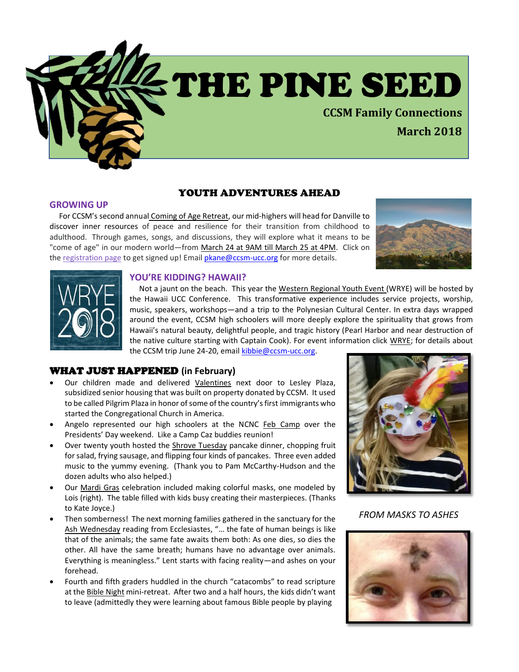

# YOUTH ADVENTURES AHEAD

### **GROWING UP**

 For CCSM's second annual Coming of Age Retreat, our mid-highers will head for Danville to discover inner resources of peace and resilience for their transition from childhood to adulthood. Through games, songs, and discussions, they will explore what it means to be "come of age" in our modern world—from March 24 at 9AM till March 25 at 4PM. Click on the [registration page](https://www.eventbrite.com/e/ccsms-mid-high-coming-of-age-retreat-2018-tickets-43101931036) to get signed up! Email [pkane@ccsm-ucc.org](mailto:pkane@ccsm-ucc.org) for more details.





### **YOU'RE KIDDING? HAWAII?**

 Not a jaunt on the beach. This year the Western Regional Youth Event (WRYE) will be hosted by the Hawaii UCC Conference. This transformative experience includes service projects, worship, music, speakers, workshops—and a trip to the Polynesian Cultural Center. In extra days wrapped around the event, CCSM high schoolers will more deeply explore the spirituality that grows from Hawaii's natural beauty, delightful people, and tragic history (Pearl Harbor and near destruction of the native culture starting with Captain Cook). For event information click [WRYE;](https://www.uccwrye.com/) for details about the CCSM trip June 24-20, email [kibbie@ccsm-ucc.org.](mailto:kibbie@ccsm-ucc.org)

### WHAT JUST HAPPENED **(in February)**

- Our children made and delivered Valentines next door to Lesley Plaza, subsidized senior housing that was built on property donated by CCSM. It used to be called Pilgrim Plaza in honor of some of the country's first immigrants who started the Congregational Church in America.
- Angelo represented our high schoolers at the NCNC Feb Camp over the Presidents' Day weekend. Like a Camp Caz buddies reunion!
- Over twenty youth hosted the Shrove Tuesday pancake dinner, chopping fruit for salad, frying sausage, and flipping four kinds of pancakes. Three even added music to the yummy evening. (Thank you to Pam McCarthy-Hudson and the dozen adults who also helped.)
- Our Mardi Gras celebration included making colorful masks, one modeled by Lois (right). The table filled with kids busy creating their masterpieces. (Thanks to Kate Joyce.)
- Then somberness! The next morning families gathered in the sanctuary for the Ash Wednesday reading from Ecclesiastes, "… the fate of human beings is like that of the animals; the same fate awaits them both: As one dies, so dies the other. All have the same breath; humans have no advantage over animals. Everything is meaningless." Lent starts with facing reality—and ashes on your forehead.
- Fourth and fifth graders huddled in the church "catacombs" to read scripture at the Bible Night mini-retreat. After two and a half hours, the kids didn't want to leave (admittedly they were learning about famous Bible people by playing



*FROM MASKS TO ASHES*